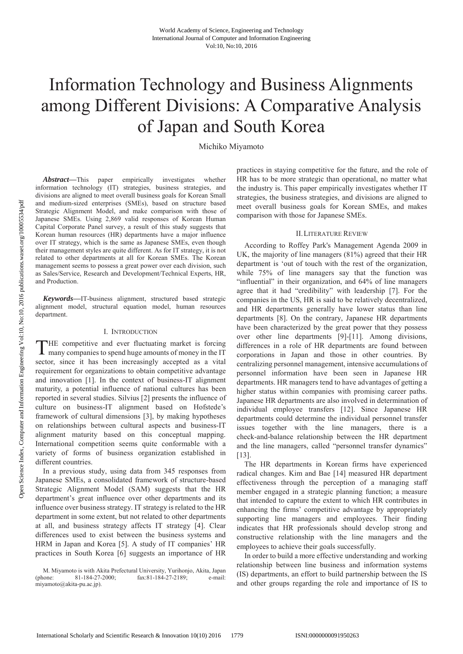# Information Technology and Business Alignments among Different Divisions: A Comparative Analysis of Japan and South Korea

Michiko Miyamoto

*Abstract***—**This paper empirically investigates whether information technology (IT) strategies, business strategies, and divisions are aligned to meet overall business goals for Korean Small and medium-sized enterprises (SMEs), based on structure based Strategic Alignment Model, and make comparison with those of Japanese SMEs. Using 2,869 valid responses of Korean Human Capital Corporate Panel survey, a result of this study suggests that Korean human resources (HR) departments have a major influence over IT strategy, which is the same as Japanese SMEs, even though their management styles are quite different. As for IT strategy, it is not related to other departments at all for Korean SMEs. The Korean management seems to possess a great power over each division, such as Sales/Service, Research and Development/Technical Experts, HR, and Production.

*Keywords***—**IT-business alignment, structured based strategic alignment model, structural equation model, human resources department.

#### I. INTRODUCTION

HE competitive and ever fluctuating market is forcing THE competitive and ever fluctuating market is forcing<br>many companies to spend huge amounts of money in the IT sector, since it has been increasingly accepted as a vital requirement for organizations to obtain competitive advantage and innovation [1]. In the context of business-IT alignment maturity, a potential influence of national cultures has been reported in several studies. Silvius [2] presents the influence of culture on business-IT alignment based on Hofstede's framework of cultural dimensions [3], by making hypotheses on relationships between cultural aspects and business-IT alignment maturity based on this conceptual mapping. International competition seems quite conformable with a variety of forms of business organization established in different countries.

In a previous study, using data from 345 responses from Japanese SMEs, a consolidated framework of structure-based Strategic Alignment Model (SAM) suggests that the HR department's great influence over other departments and its influence over business strategy. IT strategy is related to the HR department in some extent, but not related to other departments at all, and business strategy affects IT strategy [4]. Clear differences used to exist between the business systems and HRM in Japan and Korea [5]. A study of IT companies' HR practices in South Korea [6] suggests an importance of HR practices in staying competitive for the future, and the role of HR has to be more strategic than operational, no matter what the industry is. This paper empirically investigates whether IT strategies, the business strategies, and divisions are aligned to meet overall business goals for Korean SMEs, and makes comparison with those for Japanese SMEs.

# II.LITERATURE REVIEW

According to Roffey Park's Management Agenda 2009 in UK, the majority of line managers (81%) agreed that their HR department is 'out of touch with the rest of the organization, while 75% of line managers say that the function was "influential" in their organization, and 64% of line managers agree that it had "credibility" with leadership [7]. For the companies in the US, HR is said to be relatively decentralized, and HR departments generally have lower status than line departments [8]. On the contrary, Japanese HR departments have been characterized by the great power that they possess over other line departments [9]-[11]. Among divisions, differences in a role of HR departments are found between corporations in Japan and those in other countries. By centralizing personnel management, intensive accumulations of personnel information have been seen in Japanese HR departments. HR managers tend to have advantages of getting a higher status within companies with promising career paths. Japanese HR departments are also involved in determination of individual employee transfers [12]. Since Japanese HR departments could determine the individual personnel transfer issues together with the line managers, there is a check-and-balance relationship between the HR department and the line managers, called "personnel transfer dynamics" [13].

The HR departments in Korean firms have experienced radical changes. Kim and Bae [14] measured HR department effectiveness through the perception of a managing staff member engaged in a strategic planning function; a measure that intended to capture the extent to which HR contributes in enhancing the firms' competitive advantage by appropriately supporting line managers and employees. Their finding indicates that HR professionals should develop strong and constructive relationship with the line managers and the employees to achieve their goals successfully-

In order to build a more effective understanding and working relationship between line business and information systems (IS) departments, an effort to build partnership between the IS and other groups regarding the role and importance of IS to

M. Miyamoto is with Akita Prefectural University, Yurihonjo, Akita, Japan<br>
1991 - 184-27-2000; fax:81-184-27-2189; e-mail: (phone: 81-184-27-2000; fax:81-184-27-2189; e-mail: miyamoto@akita-pu.ac.jp).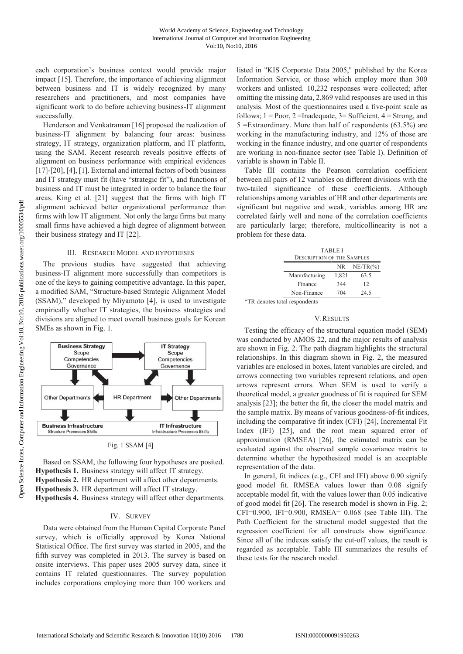each corporation's business context would provide major impact [15]. Therefore, the importance of achieving alignment between business and IT is widely recognized by many researchers and practitioners, and most companies have significant work to do before achieving business-IT alignment successfully.

Henderson and Venkatraman [16] proposed the realization of business-IT alignment by balancing four areas: business strategy, IT strategy, organization platform, and IT platform, using the SAM. Recent research reveals positive effects of alignment on business performance with empirical evidences [17]-[20], [4], [1]. External and internal factors of both business and IT strategy must fit (have "strategic fit"), and functions of business and IT must be integrated in order to balance the four areas. King et al*.* [21] suggest that the firms with high IT alignment achieved better organizational performance than firms with low IT alignment. Not only the large firms but many small firms have achieved a high degree of alignment between their business strategy and IT [22].

#### III. RESEARCH MODEL AND HYPOTHESES

The previous studies have suggested that achieving business-IT alignment more successfully than competitors is one of the keys to gaining competitive advantage. In this paper, a modified SAM, "Structure-based Strategic Alignment Model (SSAM)," developed by Miyamoto [4], is used to investigate empirically whether IT strategies, the business strategies and divisions are aligned to meet overall business goals for Korean SMEs as shown in Fig. 1.



Based on SSAM, the following four hypotheses are posited. **Hypothesis 1.** Business strategy will affect IT strategy. **Hypothesis 2.** HR department will affect other departments. **Hypothesis 3.** HR department will affect IT strategy. **Hypothesis 4.** Business strategy will affect other departments.

#### IV. SURVEY

Data were obtained from the Human Capital Corporate Panel survey, which is officially approved by Korea National Statistical Office. The first survey was started in 2005, and the fifth survey was completed in 2013. The survey is based on onsite interviews. This paper uses 2005 survey data, since it contains IT related questionnaires. The survey population includes corporations employing more than 100 workers and listed in "KIS Corporate Data 2005," published by the Korea Information Service, or those which employ more than 300 workers and unlisted. 10,232 responses were collected; after omitting the missing data, 2,869 valid responses are used in this analysis. Most of the questionnaires used a five-point scale as follows;  $1 = \text{Poor}, 2 = \text{Inadequate}, 3 = \text{Sufficient}, 4 = \text{Strong}, \text{and}$  $5 =$ Extraordinary. More than half of respondents (63.5%) are working in the manufacturing industry, and 12% of those are working in the finance industry, and one quarter of respondents are working in non-finance sector (see Table I). Definition of variable is shown in Table II.

Table III contains the Pearson correlation coefficient between all pairs of 12 variables on different divisions with the two-tailed significance of these coefficients. Although relationships among variables of HR and other departments are significant but negative and weak, variables among HR are correlated fairly well and none of the correlation coefficients are particularly large; therefore, multicollinearity is not a problem for these data.

|               | <b>TABLE I</b><br><b>DESCRIPTION OF THE SAMPLES</b> |             |  |  |  |  |  |  |
|---------------|-----------------------------------------------------|-------------|--|--|--|--|--|--|
|               | NR.                                                 | $NE/TR$ (%) |  |  |  |  |  |  |
| Manufacturing | 1,821                                               | 63.5        |  |  |  |  |  |  |
| Finance       | 344                                                 | 12          |  |  |  |  |  |  |
| Non-Finance   | 704                                                 | 24.5        |  |  |  |  |  |  |

\*TR denotes total respondents

#### V.RESULTS

Testing the efficacy of the structural equation model (SEM) was conducted by AMOS 22, and the major results of analysis are shown in Fig. 2. The path diagram highlights the structural relationships. In this diagram shown in Fig. 2, the measured variables are enclosed in boxes, latent variables are circled, and arrows connecting two variables represent relations, and open arrows represent errors. When SEM is used to verify a theoretical model, a greater goodness of fit is required for SEM analysis [23]; the better the fit, the closer the model matrix and the sample matrix. By means of various goodness-of-fit indices, including the comparative fit index (CFI) [24], Incremental Fit Index (IFI) [25], and the root mean squared error of approximation (RMSEA) [26], the estimated matrix can be evaluated against the observed sample covariance matrix to determine whether the hypothesized model is an acceptable representation of the data.

In general, fit indices (e.g., CFI and IFI) above 0.90 signify good model fit. RMSEA values lower than 0.08 signify acceptable model fit, with the values lower than 0.05 indicative of good model fit [26]. The research model is shown in Fig. 2; CFI=0.900, IFI=0.900, RMSEA= 0.068 (see Table III). The Path Coefficient for the structural model suggested that the regression coefficient for all constructs show significance. Since all of the indexes satisfy the cut-off values, the result is regarded as acceptable. Table III summarizes the results of these tests for the research model.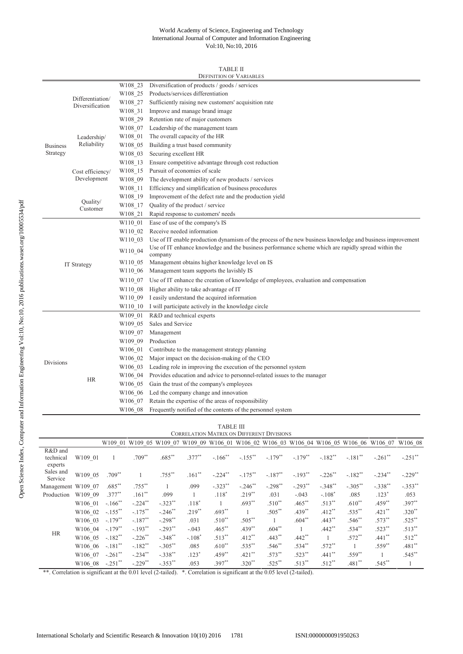## World Academy of Science, Engineering and Technology International Journal of Computer and Information Engineering Vol:10, No:10, 2016

## TABLE II

| W108_23<br>Diversification of products / goods / services<br>Products/services differentiation<br>W108 25<br>Differentiation/<br>W108 27<br>Sufficiently raising new customers' acquisition rate<br>Diversification<br>Improve and manage brand image<br>W108 31<br>Retention rate of major customers<br>W108 29<br>Leadership of the management team<br>W108 07<br>The overall capacity of the HR<br>W108 01<br>Leadership/<br>Reliability<br>Building a trust based community<br>W108 05<br><b>Business</b><br>Strategy<br>Securing excellent HR<br>W108 03<br>Ensure competitive advantage through cost reduction<br>W108 13<br>Pursuit of economies of scale<br>W108 15<br>Cost efficiency/<br>Development<br>The development ability of new products / services<br>W108_09<br>Efficiency and simplification of business procedures<br>W108 11<br>Improvement of the defect rate and the production yield<br>W108_19<br>Quality/<br>Quality of the product / service<br>W108 17<br>Customer<br>W108 21<br>Rapid response to customers' needs<br>W110 01<br>Ease of use of the company's IS<br>W110_02 Receive needed information<br>Use of IT enable production dynamism of the process of the new business knowledge and business improvement<br>W110 03<br>Use of IT enhance knowledge and the business performance scheme which are rapidly spread within the<br>W110_04<br>company<br>Management obtains higher knowledge level on IS<br>W110 05<br><b>IT Strategy</b><br>Management team supports the lavishly IS<br>W <sub>110</sub> 06<br>Use of IT enhance the creation of knowledge of employees, evaluation and compensation<br>W110 07<br>Higher ability to take advantage of IT<br>W110 08<br>I easily understand the acquired information<br>W110 09<br>I will participate actively in the knowledge circle<br>W110 10<br>R&D and technical experts<br>W109 01<br>Sales and Service<br>W109 05<br>Management<br>W109 07<br>Production<br>W109 09<br>Contribute to the management strategy planning<br>W106 01<br>Major impact on the decision-making of the CEO<br>W106 02<br>Divisions<br>Leading role in improving the execution of the personnel system<br>W106 03<br>Provides education and advice to personnel-related issues to the manager<br>W106 04<br><b>HR</b><br>Gain the trust of the company's employees<br>W106 05<br>Led the company change and innovation<br>W106 06<br>Retain the expertise of the areas of responsibility<br>W106_07<br>Frequently notified of the contents of the personnel system<br>W106 08 | <b>DEFINITION OF VARIABLES</b> |  |  |  |  |  |  |  |  |
|----------------------------------------------------------------------------------------------------------------------------------------------------------------------------------------------------------------------------------------------------------------------------------------------------------------------------------------------------------------------------------------------------------------------------------------------------------------------------------------------------------------------------------------------------------------------------------------------------------------------------------------------------------------------------------------------------------------------------------------------------------------------------------------------------------------------------------------------------------------------------------------------------------------------------------------------------------------------------------------------------------------------------------------------------------------------------------------------------------------------------------------------------------------------------------------------------------------------------------------------------------------------------------------------------------------------------------------------------------------------------------------------------------------------------------------------------------------------------------------------------------------------------------------------------------------------------------------------------------------------------------------------------------------------------------------------------------------------------------------------------------------------------------------------------------------------------------------------------------------------------------------------------------------------------------------------------------------------------------------------------------------------------------------------------------------------------------------------------------------------------------------------------------------------------------------------------------------------------------------------------------------------------------------------------------------------------------------------------------------------------------------------------------------------------------------------------------------------------------------------------------------------------------------------------|--------------------------------|--|--|--|--|--|--|--|--|
|                                                                                                                                                                                                                                                                                                                                                                                                                                                                                                                                                                                                                                                                                                                                                                                                                                                                                                                                                                                                                                                                                                                                                                                                                                                                                                                                                                                                                                                                                                                                                                                                                                                                                                                                                                                                                                                                                                                                                                                                                                                                                                                                                                                                                                                                                                                                                                                                                                                                                                                                                    |                                |  |  |  |  |  |  |  |  |
|                                                                                                                                                                                                                                                                                                                                                                                                                                                                                                                                                                                                                                                                                                                                                                                                                                                                                                                                                                                                                                                                                                                                                                                                                                                                                                                                                                                                                                                                                                                                                                                                                                                                                                                                                                                                                                                                                                                                                                                                                                                                                                                                                                                                                                                                                                                                                                                                                                                                                                                                                    |                                |  |  |  |  |  |  |  |  |
|                                                                                                                                                                                                                                                                                                                                                                                                                                                                                                                                                                                                                                                                                                                                                                                                                                                                                                                                                                                                                                                                                                                                                                                                                                                                                                                                                                                                                                                                                                                                                                                                                                                                                                                                                                                                                                                                                                                                                                                                                                                                                                                                                                                                                                                                                                                                                                                                                                                                                                                                                    |                                |  |  |  |  |  |  |  |  |
|                                                                                                                                                                                                                                                                                                                                                                                                                                                                                                                                                                                                                                                                                                                                                                                                                                                                                                                                                                                                                                                                                                                                                                                                                                                                                                                                                                                                                                                                                                                                                                                                                                                                                                                                                                                                                                                                                                                                                                                                                                                                                                                                                                                                                                                                                                                                                                                                                                                                                                                                                    |                                |  |  |  |  |  |  |  |  |
|                                                                                                                                                                                                                                                                                                                                                                                                                                                                                                                                                                                                                                                                                                                                                                                                                                                                                                                                                                                                                                                                                                                                                                                                                                                                                                                                                                                                                                                                                                                                                                                                                                                                                                                                                                                                                                                                                                                                                                                                                                                                                                                                                                                                                                                                                                                                                                                                                                                                                                                                                    |                                |  |  |  |  |  |  |  |  |
|                                                                                                                                                                                                                                                                                                                                                                                                                                                                                                                                                                                                                                                                                                                                                                                                                                                                                                                                                                                                                                                                                                                                                                                                                                                                                                                                                                                                                                                                                                                                                                                                                                                                                                                                                                                                                                                                                                                                                                                                                                                                                                                                                                                                                                                                                                                                                                                                                                                                                                                                                    |                                |  |  |  |  |  |  |  |  |
|                                                                                                                                                                                                                                                                                                                                                                                                                                                                                                                                                                                                                                                                                                                                                                                                                                                                                                                                                                                                                                                                                                                                                                                                                                                                                                                                                                                                                                                                                                                                                                                                                                                                                                                                                                                                                                                                                                                                                                                                                                                                                                                                                                                                                                                                                                                                                                                                                                                                                                                                                    |                                |  |  |  |  |  |  |  |  |
|                                                                                                                                                                                                                                                                                                                                                                                                                                                                                                                                                                                                                                                                                                                                                                                                                                                                                                                                                                                                                                                                                                                                                                                                                                                                                                                                                                                                                                                                                                                                                                                                                                                                                                                                                                                                                                                                                                                                                                                                                                                                                                                                                                                                                                                                                                                                                                                                                                                                                                                                                    |                                |  |  |  |  |  |  |  |  |
|                                                                                                                                                                                                                                                                                                                                                                                                                                                                                                                                                                                                                                                                                                                                                                                                                                                                                                                                                                                                                                                                                                                                                                                                                                                                                                                                                                                                                                                                                                                                                                                                                                                                                                                                                                                                                                                                                                                                                                                                                                                                                                                                                                                                                                                                                                                                                                                                                                                                                                                                                    |                                |  |  |  |  |  |  |  |  |
|                                                                                                                                                                                                                                                                                                                                                                                                                                                                                                                                                                                                                                                                                                                                                                                                                                                                                                                                                                                                                                                                                                                                                                                                                                                                                                                                                                                                                                                                                                                                                                                                                                                                                                                                                                                                                                                                                                                                                                                                                                                                                                                                                                                                                                                                                                                                                                                                                                                                                                                                                    |                                |  |  |  |  |  |  |  |  |
|                                                                                                                                                                                                                                                                                                                                                                                                                                                                                                                                                                                                                                                                                                                                                                                                                                                                                                                                                                                                                                                                                                                                                                                                                                                                                                                                                                                                                                                                                                                                                                                                                                                                                                                                                                                                                                                                                                                                                                                                                                                                                                                                                                                                                                                                                                                                                                                                                                                                                                                                                    |                                |  |  |  |  |  |  |  |  |
|                                                                                                                                                                                                                                                                                                                                                                                                                                                                                                                                                                                                                                                                                                                                                                                                                                                                                                                                                                                                                                                                                                                                                                                                                                                                                                                                                                                                                                                                                                                                                                                                                                                                                                                                                                                                                                                                                                                                                                                                                                                                                                                                                                                                                                                                                                                                                                                                                                                                                                                                                    |                                |  |  |  |  |  |  |  |  |
|                                                                                                                                                                                                                                                                                                                                                                                                                                                                                                                                                                                                                                                                                                                                                                                                                                                                                                                                                                                                                                                                                                                                                                                                                                                                                                                                                                                                                                                                                                                                                                                                                                                                                                                                                                                                                                                                                                                                                                                                                                                                                                                                                                                                                                                                                                                                                                                                                                                                                                                                                    |                                |  |  |  |  |  |  |  |  |
|                                                                                                                                                                                                                                                                                                                                                                                                                                                                                                                                                                                                                                                                                                                                                                                                                                                                                                                                                                                                                                                                                                                                                                                                                                                                                                                                                                                                                                                                                                                                                                                                                                                                                                                                                                                                                                                                                                                                                                                                                                                                                                                                                                                                                                                                                                                                                                                                                                                                                                                                                    |                                |  |  |  |  |  |  |  |  |
|                                                                                                                                                                                                                                                                                                                                                                                                                                                                                                                                                                                                                                                                                                                                                                                                                                                                                                                                                                                                                                                                                                                                                                                                                                                                                                                                                                                                                                                                                                                                                                                                                                                                                                                                                                                                                                                                                                                                                                                                                                                                                                                                                                                                                                                                                                                                                                                                                                                                                                                                                    |                                |  |  |  |  |  |  |  |  |
|                                                                                                                                                                                                                                                                                                                                                                                                                                                                                                                                                                                                                                                                                                                                                                                                                                                                                                                                                                                                                                                                                                                                                                                                                                                                                                                                                                                                                                                                                                                                                                                                                                                                                                                                                                                                                                                                                                                                                                                                                                                                                                                                                                                                                                                                                                                                                                                                                                                                                                                                                    |                                |  |  |  |  |  |  |  |  |
|                                                                                                                                                                                                                                                                                                                                                                                                                                                                                                                                                                                                                                                                                                                                                                                                                                                                                                                                                                                                                                                                                                                                                                                                                                                                                                                                                                                                                                                                                                                                                                                                                                                                                                                                                                                                                                                                                                                                                                                                                                                                                                                                                                                                                                                                                                                                                                                                                                                                                                                                                    |                                |  |  |  |  |  |  |  |  |
|                                                                                                                                                                                                                                                                                                                                                                                                                                                                                                                                                                                                                                                                                                                                                                                                                                                                                                                                                                                                                                                                                                                                                                                                                                                                                                                                                                                                                                                                                                                                                                                                                                                                                                                                                                                                                                                                                                                                                                                                                                                                                                                                                                                                                                                                                                                                                                                                                                                                                                                                                    |                                |  |  |  |  |  |  |  |  |
|                                                                                                                                                                                                                                                                                                                                                                                                                                                                                                                                                                                                                                                                                                                                                                                                                                                                                                                                                                                                                                                                                                                                                                                                                                                                                                                                                                                                                                                                                                                                                                                                                                                                                                                                                                                                                                                                                                                                                                                                                                                                                                                                                                                                                                                                                                                                                                                                                                                                                                                                                    |                                |  |  |  |  |  |  |  |  |
|                                                                                                                                                                                                                                                                                                                                                                                                                                                                                                                                                                                                                                                                                                                                                                                                                                                                                                                                                                                                                                                                                                                                                                                                                                                                                                                                                                                                                                                                                                                                                                                                                                                                                                                                                                                                                                                                                                                                                                                                                                                                                                                                                                                                                                                                                                                                                                                                                                                                                                                                                    |                                |  |  |  |  |  |  |  |  |
|                                                                                                                                                                                                                                                                                                                                                                                                                                                                                                                                                                                                                                                                                                                                                                                                                                                                                                                                                                                                                                                                                                                                                                                                                                                                                                                                                                                                                                                                                                                                                                                                                                                                                                                                                                                                                                                                                                                                                                                                                                                                                                                                                                                                                                                                                                                                                                                                                                                                                                                                                    |                                |  |  |  |  |  |  |  |  |
|                                                                                                                                                                                                                                                                                                                                                                                                                                                                                                                                                                                                                                                                                                                                                                                                                                                                                                                                                                                                                                                                                                                                                                                                                                                                                                                                                                                                                                                                                                                                                                                                                                                                                                                                                                                                                                                                                                                                                                                                                                                                                                                                                                                                                                                                                                                                                                                                                                                                                                                                                    |                                |  |  |  |  |  |  |  |  |
|                                                                                                                                                                                                                                                                                                                                                                                                                                                                                                                                                                                                                                                                                                                                                                                                                                                                                                                                                                                                                                                                                                                                                                                                                                                                                                                                                                                                                                                                                                                                                                                                                                                                                                                                                                                                                                                                                                                                                                                                                                                                                                                                                                                                                                                                                                                                                                                                                                                                                                                                                    |                                |  |  |  |  |  |  |  |  |
|                                                                                                                                                                                                                                                                                                                                                                                                                                                                                                                                                                                                                                                                                                                                                                                                                                                                                                                                                                                                                                                                                                                                                                                                                                                                                                                                                                                                                                                                                                                                                                                                                                                                                                                                                                                                                                                                                                                                                                                                                                                                                                                                                                                                                                                                                                                                                                                                                                                                                                                                                    |                                |  |  |  |  |  |  |  |  |
|                                                                                                                                                                                                                                                                                                                                                                                                                                                                                                                                                                                                                                                                                                                                                                                                                                                                                                                                                                                                                                                                                                                                                                                                                                                                                                                                                                                                                                                                                                                                                                                                                                                                                                                                                                                                                                                                                                                                                                                                                                                                                                                                                                                                                                                                                                                                                                                                                                                                                                                                                    |                                |  |  |  |  |  |  |  |  |
|                                                                                                                                                                                                                                                                                                                                                                                                                                                                                                                                                                                                                                                                                                                                                                                                                                                                                                                                                                                                                                                                                                                                                                                                                                                                                                                                                                                                                                                                                                                                                                                                                                                                                                                                                                                                                                                                                                                                                                                                                                                                                                                                                                                                                                                                                                                                                                                                                                                                                                                                                    |                                |  |  |  |  |  |  |  |  |
|                                                                                                                                                                                                                                                                                                                                                                                                                                                                                                                                                                                                                                                                                                                                                                                                                                                                                                                                                                                                                                                                                                                                                                                                                                                                                                                                                                                                                                                                                                                                                                                                                                                                                                                                                                                                                                                                                                                                                                                                                                                                                                                                                                                                                                                                                                                                                                                                                                                                                                                                                    |                                |  |  |  |  |  |  |  |  |
|                                                                                                                                                                                                                                                                                                                                                                                                                                                                                                                                                                                                                                                                                                                                                                                                                                                                                                                                                                                                                                                                                                                                                                                                                                                                                                                                                                                                                                                                                                                                                                                                                                                                                                                                                                                                                                                                                                                                                                                                                                                                                                                                                                                                                                                                                                                                                                                                                                                                                                                                                    |                                |  |  |  |  |  |  |  |  |
|                                                                                                                                                                                                                                                                                                                                                                                                                                                                                                                                                                                                                                                                                                                                                                                                                                                                                                                                                                                                                                                                                                                                                                                                                                                                                                                                                                                                                                                                                                                                                                                                                                                                                                                                                                                                                                                                                                                                                                                                                                                                                                                                                                                                                                                                                                                                                                                                                                                                                                                                                    |                                |  |  |  |  |  |  |  |  |
|                                                                                                                                                                                                                                                                                                                                                                                                                                                                                                                                                                                                                                                                                                                                                                                                                                                                                                                                                                                                                                                                                                                                                                                                                                                                                                                                                                                                                                                                                                                                                                                                                                                                                                                                                                                                                                                                                                                                                                                                                                                                                                                                                                                                                                                                                                                                                                                                                                                                                                                                                    |                                |  |  |  |  |  |  |  |  |
|                                                                                                                                                                                                                                                                                                                                                                                                                                                                                                                                                                                                                                                                                                                                                                                                                                                                                                                                                                                                                                                                                                                                                                                                                                                                                                                                                                                                                                                                                                                                                                                                                                                                                                                                                                                                                                                                                                                                                                                                                                                                                                                                                                                                                                                                                                                                                                                                                                                                                                                                                    |                                |  |  |  |  |  |  |  |  |
|                                                                                                                                                                                                                                                                                                                                                                                                                                                                                                                                                                                                                                                                                                                                                                                                                                                                                                                                                                                                                                                                                                                                                                                                                                                                                                                                                                                                                                                                                                                                                                                                                                                                                                                                                                                                                                                                                                                                                                                                                                                                                                                                                                                                                                                                                                                                                                                                                                                                                                                                                    |                                |  |  |  |  |  |  |  |  |
|                                                                                                                                                                                                                                                                                                                                                                                                                                                                                                                                                                                                                                                                                                                                                                                                                                                                                                                                                                                                                                                                                                                                                                                                                                                                                                                                                                                                                                                                                                                                                                                                                                                                                                                                                                                                                                                                                                                                                                                                                                                                                                                                                                                                                                                                                                                                                                                                                                                                                                                                                    |                                |  |  |  |  |  |  |  |  |
|                                                                                                                                                                                                                                                                                                                                                                                                                                                                                                                                                                                                                                                                                                                                                                                                                                                                                                                                                                                                                                                                                                                                                                                                                                                                                                                                                                                                                                                                                                                                                                                                                                                                                                                                                                                                                                                                                                                                                                                                                                                                                                                                                                                                                                                                                                                                                                                                                                                                                                                                                    |                                |  |  |  |  |  |  |  |  |
|                                                                                                                                                                                                                                                                                                                                                                                                                                                                                                                                                                                                                                                                                                                                                                                                                                                                                                                                                                                                                                                                                                                                                                                                                                                                                                                                                                                                                                                                                                                                                                                                                                                                                                                                                                                                                                                                                                                                                                                                                                                                                                                                                                                                                                                                                                                                                                                                                                                                                                                                                    |                                |  |  |  |  |  |  |  |  |
|                                                                                                                                                                                                                                                                                                                                                                                                                                                                                                                                                                                                                                                                                                                                                                                                                                                                                                                                                                                                                                                                                                                                                                                                                                                                                                                                                                                                                                                                                                                                                                                                                                                                                                                                                                                                                                                                                                                                                                                                                                                                                                                                                                                                                                                                                                                                                                                                                                                                                                                                                    |                                |  |  |  |  |  |  |  |  |
|                                                                                                                                                                                                                                                                                                                                                                                                                                                                                                                                                                                                                                                                                                                                                                                                                                                                                                                                                                                                                                                                                                                                                                                                                                                                                                                                                                                                                                                                                                                                                                                                                                                                                                                                                                                                                                                                                                                                                                                                                                                                                                                                                                                                                                                                                                                                                                                                                                                                                                                                                    |                                |  |  |  |  |  |  |  |  |
|                                                                                                                                                                                                                                                                                                                                                                                                                                                                                                                                                                                                                                                                                                                                                                                                                                                                                                                                                                                                                                                                                                                                                                                                                                                                                                                                                                                                                                                                                                                                                                                                                                                                                                                                                                                                                                                                                                                                                                                                                                                                                                                                                                                                                                                                                                                                                                                                                                                                                                                                                    |                                |  |  |  |  |  |  |  |  |

#### TABLE III

| <b>CORRELATION MATRIX ON DIFFERENT DIVISIONS</b> |         |                       |            |            |          |            |            |                       |                       |              |            |                                                                                                 |            |
|--------------------------------------------------|---------|-----------------------|------------|------------|----------|------------|------------|-----------------------|-----------------------|--------------|------------|-------------------------------------------------------------------------------------------------|------------|
|                                                  |         |                       |            |            |          |            |            |                       |                       |              |            | W109 01 W109 05 W109 07 W109 09 W106 01 W106 02 W106 03 W106 04 W106 05 W106 06 W106 07 W106 08 |            |
| R&D and<br>technical<br>experts                  | W109 01 | 1                     | $.709**$   | $.685**$   | $.377**$ | $-.166$ ** | $-.155$ ** | $-.179$ <sup>**</sup> | $-.179$ <sup>**</sup> | $-.182**$    | $-.181$ ** | $-.261$ **                                                                                      | $-.251$ ** |
| Sales and<br>Service                             | W109 05 | $.709**$              |            | $.755***$  | $.161**$ | $-.224$ ** | $-.175***$ | $-.187**$             | $-.193$ **            | $-.226$ **   | $-.182**$  | $-.234$ **                                                                                      | $-.229$ ** |
| Management W109 07                               |         | $.685**$              | $.755***$  | -1         | .099     | $-.323**$  | $-.246$ ** | $-.298**$             | $-.293***$            | $-.348**$    | $-.305***$ | $-.338***$                                                                                      | $-.353$ ** |
| Production                                       | W109 09 | $.377***$             | $.161***$  | .099       |          | $.118*$    | $.219**$   | .031                  | $-.043$               | $-.108*$     | .085       | $.123*$                                                                                         | .053       |
|                                                  | W106 01 | $-.166$ <sup>**</sup> | $-.224$ ** | $-.323$ ** | $.118*$  | 1          | $.693**$   | $.510**$              | $.465**$              | $.513**$     | $.610**$   | $.459**$                                                                                        | $.397**$   |
| <b>HR</b>                                        | W106 02 | $-.155$ **            | $-.175***$ | $-.246$ ** | $.219**$ | $.693**$   |            | $.505**$              | $.439**$              | $.412**$     | $.535***$  | $.421**$                                                                                        | $.320**$   |
|                                                  | W106 03 | $-.179$ <sup>**</sup> | $-.187**$  | $-.298$ ** | .031     | $.510**$   | $.505***$  | 1                     | $.604**$              | $.443***$    | $.546**$   | $.573**$                                                                                        | $.525***$  |
|                                                  | W106 04 | $-.179**$             | $-.193**$  | $-.293**$  | $-.043$  | $.465***$  | $.439**$   | $.604**$              |                       | $.442**$     | $.534**$   | $.523**$                                                                                        | $.513**$   |
|                                                  | W106 05 | $-.182**$             | $-.226$ ** | $-.348$ ** | $-.108*$ | $.513**$   | $.412***$  | $.443**$              | $.442**$              | $\mathbf{1}$ | $.572***$  | $.441***$                                                                                       | $.512**$   |
|                                                  | W106 06 | $-.181**$             | $-.182**$  | $-.305***$ | .085     | $.610**$   | $.535***$  | $.546**$              | $.534**$              | $.572**$     |            | $.559**$                                                                                        | $.481**$   |
|                                                  | W106 07 | $-.261$ **            | $-.234$ ** | $-.338$ ** | $.123*$  | $.459**$   | $.421$ **  | $.573**$              | $.523***$             | $.441***$    | $.559**$   |                                                                                                 | $.545***$  |
|                                                  | W106 08 | $-.251$ **            | $-.229$ ** | $-.353$ ** | .053     | $.397**$   | $.320**$   | $.525***$             | $.513**$              | $.512**$     | $.481**$   | $.545**$                                                                                        |            |

\*\*. Correlation is significant at the 0.01 level (2-tailed). \*. Correlation is significant at the 0.05 level (2-tailed).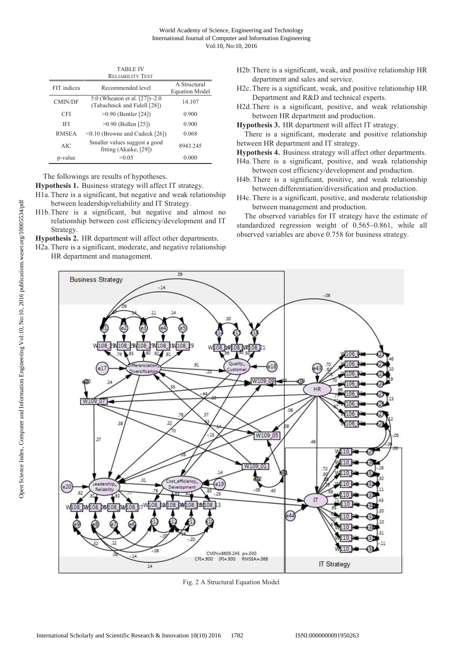| <b>RELIABILITY TEST</b> |                                                                   |          |  |  |  |  |
|-------------------------|-------------------------------------------------------------------|----------|--|--|--|--|
| FIT indices             | Recommended level                                                 |          |  |  |  |  |
| <b>CMIN/DF</b>          | 5.0 (Wheaton et al. $[27]\sim2.0$<br>(Tabachnick and Fidell [28]) | 14.107   |  |  |  |  |
| CFI                     | $>0.90$ (Bentler [24])                                            | 0.900    |  |  |  |  |
| IFI                     | $>0.90$ (Bollen [25])                                             | 0.900    |  |  |  |  |
| <b>RMSEA</b>            | $\leq 0.10$ (Browne and Cudeck [26])                              | 0.068    |  |  |  |  |
| AIC                     | Smaller values suggest a good<br>fitting (Akaike, [29])           | 8943.245 |  |  |  |  |
| p-value                 | >0.05                                                             | 0.000    |  |  |  |  |

TABLE IV

The followings are results of hypotheses.

**Hypothesis 1.** Business strategy will affect IT strategy.

H1a. There is a significant, but negative and weak relationship between leadership/reliability and IT Strategy.

H1b.There is a significant, but negative and almost no relationship between cost efficiency/development and IT Strategy.

**Hypothesis 2.** HR department will affect other departments.

H2a. There is a significant, moderate, and negative relationship HR department and management.

- H2b.There is a significant, weak, and positive relationship HR department and sales and service.
- H2c. There is a significant, weak, and positive relationship HR Department and R&D and technical experts.
- H2d.There is a significant, positive, and weak relationship between HR department and production.

**Hypothesis 3.** HR department will affect IT strategy.

There is a significant, moderate and positive relationship between HR department and IT strategy.

**Hypothesis 4.** Business strategy will affect other departments.

H4a. There is a significant, positive, and weak relationship between cost efficiency/development and production.

- H4b. There is a significant, positive, and weak relationship between differentiation/diversification and production.
- H4c. There is a significant, positive, and moderate relationship between management and production.

The observed variables for IT strategy have the estimate of standardized regression weight of 0.565~0.861, while all observed variables are above 0.758 for business strategy.



Fig. 2 A Structural Equation Model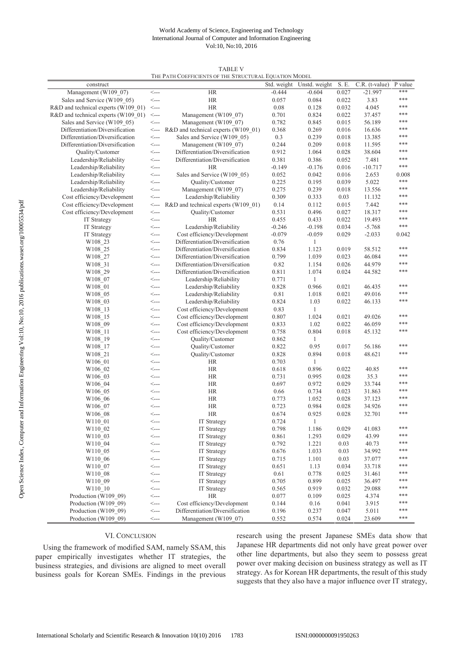## World Academy of Science, Engineering and Technology International Journal of Computer and Information Engineering Vol:10, No:10, 2016

| THE PATH COEFFICIENTS OF THE STRUCTURAL EQUATION MODEL |                                             |                                     |          |                           |       |                  |         |  |
|--------------------------------------------------------|---------------------------------------------|-------------------------------------|----------|---------------------------|-------|------------------|---------|--|
| construct                                              |                                             |                                     |          | Std. weight Unstd. weight | S. E. | $C.R.$ (t-value) | P value |  |
| Management (W109 07)                                   | $\leftarrow$                                | HR                                  | $-0.444$ | $-0.604$                  | 0.027 | $-21.997$        | ***     |  |
| Sales and Service (W109 05)                            | <---                                        | <b>HR</b>                           | 0.057    | 0.084                     | 0.022 | 3.83             | ***     |  |
| R&D and technical experts (W109 01)                    | $\leftarrow$                                | <b>HR</b>                           | 0.08     | 0.128                     | 0.032 | 4.045            | ***     |  |
| R&D and technical experts (W109 01)                    | $\operatorname{\sf \! \leq }$               | Management (W109 07)                | 0.701    | 0.824                     | 0.022 | 37.457           | ***     |  |
| Sales and Service (W109_05)                            | $\leftarrow$                                | Management (W109_07)                | 0.782    | 0.845                     | 0.015 | 56.189           | ***     |  |
| Differentiation/Diversification                        | <----                                       | R&D and technical experts (W109 01) | 0.368    | 0.269                     | 0.016 | 16.636           | ***     |  |
| Differentiation/Diversification                        | <---                                        | Sales and Service (W109 05)         | 0.3      | 0.239                     | 0.018 | 13.385           | ***     |  |
| Differentiation/Diversification                        | $\operatorname{\!<\!}-$                     | Management (W109 07)                | 0.244    | 0.209                     | 0.018 | 11.595           | ***     |  |
| Quality/Customer                                       | $\operatorname{\!<\!}-$                     | Differentiation/Diversification     | 0.912    | 1.064                     | 0.028 | 38.604           | ***     |  |
| Leadership/Reliability                                 | $\leftarrow$                                | Differentiation/Diversification     | 0.381    | 0.386                     | 0.052 | 7.481            | ***     |  |
| Leadership/Reliability                                 | $\operatorname{\sf \small <---}$            | <b>HR</b>                           | $-0.149$ | $-0.176$                  | 0.016 | $-10.717$        | ***     |  |
| Leadership/Reliability                                 | <----                                       | Sales and Service (W109_05)         | 0.052    | 0.042                     | 0.016 | 2.653            | 0.008   |  |
| Leadership/Reliability                                 | $\operatorname{\sf \small{<}}-$             | Quality/Customer                    | 0.225    | 0.195                     | 0.039 | 5.022            | ***     |  |
| Leadership/Reliability                                 | <----                                       | Management (W109 07)                | 0.275    | 0.239                     | 0.018 | 13.556           | ***     |  |
| Cost efficiency/Development                            | $\leftarrow$                                | Leadership/Reliability              | 0.309    | 0.333                     | 0.03  | 11.132           | ***     |  |
|                                                        |                                             |                                     |          |                           |       |                  | ***     |  |
| Cost efficiency/Development                            | $\leftarrow$                                | R&D and technical experts (W109_01) | 0.14     | 0.112                     | 0.015 | 7.442            | ***     |  |
| Cost efficiency/Development                            | <---                                        | Quality/Customer                    | 0.531    | 0.496                     | 0.027 | 18.317           | ***     |  |
| <b>IT Strategy</b>                                     | $\leftarrow$                                | <b>HR</b>                           | 0.455    | 0.433                     | 0.022 | 19.493           | ***     |  |
| IT Strategy                                            | <---                                        | Leadership/Reliability              | $-0.246$ | $-0.198$                  | 0.034 | $-5.768$         |         |  |
| <b>IT Strategy</b>                                     | <----                                       | Cost efficiency/Development         | $-0.079$ | $-0.059$                  | 0.029 | $-2.033$         | 0.042   |  |
| W108 23                                                | $\leftarrow$                                | Differentiation/Diversification     | 0.76     | $\mathbf{1}$              |       |                  |         |  |
| W108 25                                                | $\leftarrow$                                | Differentiation/Diversification     | 0.834    | 1.123                     | 0.019 | 58.512           | ***     |  |
| W108 27                                                | $\hspace{0.1em} <\hspace{-0.1em} \ldots$    | Differentiation/Diversification     | 0.799    | 1.039                     | 0.023 | 46.084           | ***     |  |
| W108 31                                                | $\hspace{0.1em} <\hspace{-0.1em} \ldots$    | Differentiation/Diversification     | 0.82     | 1.154                     | 0.026 | 44.979           | ***     |  |
| W <sub>108</sub> 29                                    | $\leftarrow$                                | Differentiation/Diversification     | 0.811    | 1.074                     | 0.024 | 44.582           | ***     |  |
| W108 07                                                | $\leftarrow$                                | Leadership/Reliability              | 0.771    | $\mathbf{1}$              |       |                  |         |  |
| W108 01                                                | $\leftarrow$                                | Leadership/Reliability              | 0.828    | 0.966                     | 0.021 | 46.435           | ***     |  |
| W108_05                                                | <----                                       | Leadership/Reliability              | 0.81     | 1.018                     | 0.021 | 49.016           | ***     |  |
| W108 03                                                | <----                                       | Leadership/Reliability              | 0.824    | 1.03                      | 0.022 | 46.133           | ***     |  |
| W108 13                                                | <--->                                       | Cost efficiency/Development         | 0.83     | 1                         |       |                  |         |  |
| W108 15                                                | $\leftarrow$                                | Cost efficiency/Development         | 0.807    | 1.024                     | 0.021 | 49.026           | ***     |  |
| W108 09                                                | $\leftarrow$                                | Cost efficiency/Development         | 0.833    | 1.02                      | 0.022 | 46.059           | ***     |  |
| W108 11                                                | <----                                       | Cost efficiency/Development         | 0.758    | 0.804                     | 0.018 | 45.132           | ***     |  |
| W108_19                                                | $\operatorname{\!<\!}-$                     | Quality/Customer                    | 0.862    | 1                         |       |                  |         |  |
| W108 17                                                | <----                                       | Quality/Customer                    | 0.822    | 0.95                      | 0.017 | 56.186           | ***     |  |
| W108 21                                                | <--->                                       | Quality/Customer                    | 0.828    | 0.894                     | 0.018 | 48.621           | ***     |  |
| W106_01                                                | $\leftarrow$                                | HR                                  | 0.703    | 1                         |       |                  |         |  |
| W106 02                                                | <----                                       | HR                                  | 0.618    | 0.896                     | 0.022 | 40.85            | ***     |  |
| W106 03                                                | $\operatorname{\!<\!}-$                     | HR                                  | 0.731    | 0.995                     | 0.028 | 35.3             | ***     |  |
| W106 04                                                | <---                                        | <b>HR</b>                           | 0.697    | 0.972                     | 0.029 | 33.744           | ***     |  |
| W <sub>106</sub> 05                                    | <---                                        | HR                                  | 0.66     | 0.734                     | 0.023 | 31.863           | ***     |  |
| W106_06                                                | <----                                       | HR                                  | 0.773    | 1.052                     | 0.028 | 37.123           | ***     |  |
| W106 07                                                | <----                                       | <b>HR</b>                           | 0.723    | 0.984                     | 0.028 | 34.926           | ***     |  |
| W106 08                                                | <---                                        | <b>HR</b>                           | 0.674    | 0.925                     | 0.028 | 32.701           | ***     |  |
| W110 01                                                | <---                                        | IT Strategy                         | 0.724    | 1                         |       |                  |         |  |
| W110 02                                                | $\operatorname{\!<\!}-$                     | IT Strategy                         | 0.798    | 1.186                     | 0.029 | 41.083           | ***     |  |
| W110 03                                                | <---                                        | <b>IT Strategy</b>                  | 0.861    | 1.293                     | 0.029 | 43.99            | ***     |  |
| W110_04                                                | $\leftarrow$                                | <b>IT Strategy</b>                  | 0.792    | 1.221                     | 0.03  | 40.73            | ***     |  |
| W110 05                                                | <---                                        | <b>IT Strategy</b>                  | 0.676    | 1.033                     | 0.03  | 34.992           | ***     |  |
|                                                        |                                             |                                     |          |                           |       |                  | ***     |  |
| W <sub>110</sub> 06                                    | $\operatorname{\!<\!}-$                     | <b>IT Strategy</b>                  | 0.715    | 1.101                     | 0.03  | 37.077           | ***     |  |
| W110 07                                                | $\operatorname{\!<\!}-\!\operatorname{\!-}$ | IT Strategy                         | 0.651    | 1.13                      | 0.034 | 33.718           | ***     |  |
| W110 08                                                | $\operatorname{\!<\!}-$                     | IT Strategy                         | 0.61     | 0.778                     | 0.025 | 31.461           |         |  |
| W110 09                                                | $\operatorname{\!<\!}-$                     | <b>IT Strategy</b>                  | 0.705    | 0.899                     | 0.025 | 36.497           | ***     |  |
| W110 10                                                | $\leftarrow$                                | IT Strategy                         | 0.565    | 0.919                     | 0.032 | 29.088           | ***     |  |
| Production (W109_09)                                   | $\operatorname{\!<\!}-$                     | HR                                  | 0.077    | 0.109                     | 0.025 | 4.374            | ***     |  |
| Production (W109 09)                                   |                                             | Cost efficiency/Development         | 0.144    | 0.16                      | 0.041 | 3.915            | ***     |  |
| Production (W109 09)                                   | $\leftarrow$                                | Differentiation/Diversification     | 0.196    | 0.237                     | 0.047 | 5.011            | ***     |  |
| Production (W109 09)                                   | $\mathrel{<}\!\mathopen{-}$                 | Management (W109_07)                | 0.552    | 0.574                     | 0.024 | 23.609           | ***     |  |

#### TABLE V THE PATH COEFFICIENTS OF THE STRUCTURAL EQUATION MODEL

# VI. CONCLUSION

Using the framework of modified SAM, namely SSAM, this paper empirically investigates whether IT strategies, the business strategies, and divisions are aligned to meet overall business goals for Korean SMEs. Findings in the previous research using the present Japanese SMEs data show that Japanese HR departments did not only have great power over other line departments, but also they seem to possess great power over making decision on business strategy as well as IT strategy. As for Korean HR departments, the result of this study suggests that they also have a major influence over IT strategy,